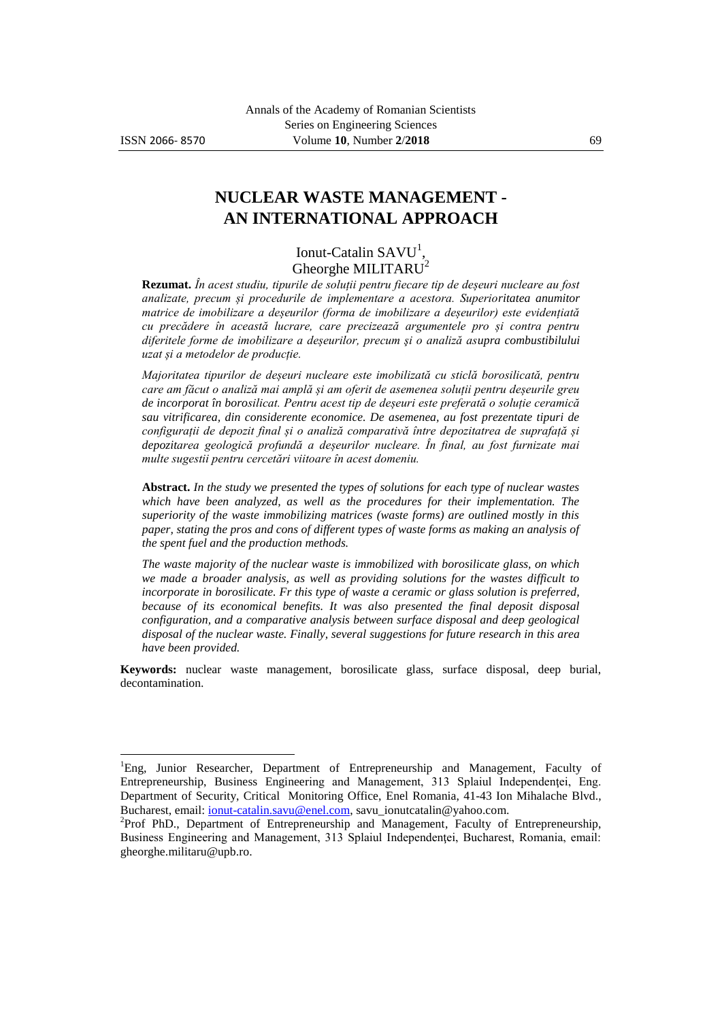$\overline{a}$ 

# **NUCLEAR WASTE MANAGEMENT - AN INTERNATIONAL APPROACH**

Ionut-Catalin  $SAVU<sup>1</sup>$ , Gheorghe MILITARU<sup>2</sup>

**Rezumat.** *În acest studiu, tipurile de soluții pentru fiecare tip de deșeuri nucleare au fost analizate, precum și procedurile de implementare a acestora. Superioritatea anumitor matrice de imobilizare a deșeurilor (forma de imobilizare a deșeurilor) este evidențiată cu precădere în această lucrare, care precizează argumentele pro și contra pentru diferitele forme de imobilizare a deșeurilor, precum şi o analiză asupra combustibilului uzat și a metodelor de producție.* 

*Majoritatea tipurilor de deșeuri nucleare este imobilizată cu sticlă borosilicată, pentru care am făcut o analiză mai amplă și am oferit de asemenea soluții pentru deșeurile greu de incorporat în borosilicat. Pentru acest tip de deșeuri este preferată o soluție ceramică sau vitrificarea, din considerente economice. De asemenea, au fost prezentate tipuri de configurații de depozit final și o analiză comparativă între depozitatrea de suprafață și depozitarea geologică profundă a deșeurilor nucleare. În final, au fost furnizate mai multe sugestii pentru cercetări viitoare în acest domeniu.*

**Abstract.** *In the study we presented the types of solutions for each type of nuclear wastes which have been analyzed, as well as the procedures for their implementation. The superiority of the waste immobilizing matrices (waste forms) are outlined mostly in this paper, stating the pros and cons of different types of waste forms as making an analysis of the spent fuel and the production methods.* 

*The waste majority of the nuclear waste is immobilized with borosilicate glass, on which we made a broader analysis, as well as providing solutions for the wastes difficult to incorporate in borosilicate. Fr this type of waste a ceramic or glass solution is preferred,*  because of its economical benefits. It was also presented the final deposit disposal *configuration, and a comparative analysis between surface disposal and deep geological disposal of the nuclear waste. Finally, several suggestions for future research in this area have been provided.*

**Keywords:** nuclear waste management, borosilicate glass, surface disposal, deep burial, decontamination.

<sup>1</sup>Eng, Junior Researcher, Department of Entrepreneurship and Management, Faculty of Entrepreneurship, Business Engineering and Management, 313 Splaiul Independentei, Eng. Department of Security, Critical Monitoring Office, Enel Romania, 41-43 Ion Mihalache Blvd., Bucharest, email[: ionut-catalin.savu@enel.com,](mailto:ionut-catalin.savu@enel.com) savu\_ionutcatalin@yahoo.com.

<sup>&</sup>lt;sup>2</sup>Prof PhD., Department of Entrepreneurship and Management, Faculty of Entrepreneurship, Business Engineering and Management, 313 Splaiul Independentei, Bucharest, Romania, email: gheorghe.militaru@upb.ro.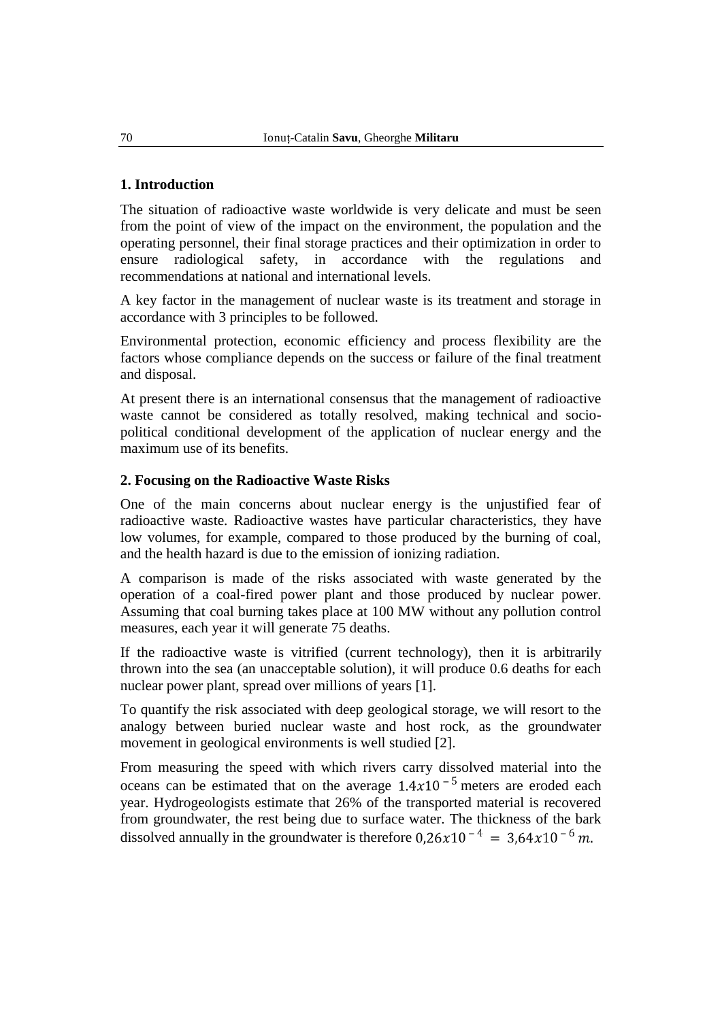## **1. Introduction**

The situation of radioactive waste worldwide is very delicate and must be seen from the point of view of the impact on the environment, the population and the operating personnel, their final storage practices and their optimization in order to ensure radiological safety, in accordance with the regulations and recommendations at national and international levels.

A key factor in the management of nuclear waste is its treatment and storage in accordance with 3 principles to be followed.

Environmental protection, economic efficiency and process flexibility are the factors whose compliance depends on the success or failure of the final treatment and disposal.

At present there is an international consensus that the management of radioactive waste cannot be considered as totally resolved, making technical and sociopolitical conditional development of the application of nuclear energy and the maximum use of its benefits.

## **2. Focusing on the Radioactive Waste Risks**

One of the main concerns about nuclear energy is the unjustified fear of radioactive waste. Radioactive wastes have particular characteristics, they have low volumes, for example, compared to those produced by the burning of coal, and the health hazard is due to the emission of ionizing radiation.

A comparison is made of the risks associated with waste generated by the operation of a coal-fired power plant and those produced by nuclear power. Assuming that coal burning takes place at 100 MW without any pollution control measures, each year it will generate 75 deaths.

If the radioactive waste is vitrified (current technology), then it is arbitrarily thrown into the sea (an unacceptable solution), it will produce 0.6 deaths for each nuclear power plant, spread over millions of years [1].

To quantify the risk associated with deep geological storage, we will resort to the analogy between buried nuclear waste and host rock, as the groundwater movement in geological environments is well studied [2].

From measuring the speed with which rivers carry dissolved material into the oceans can be estimated that on the average  $1.4x10^{-5}$  meters are eroded each year. Hydrogeologists estimate that 26% of the transported material is recovered from groundwater, the rest being due to surface water. The thickness of the bark dissolved annually in the groundwater is therefore  $0.26x10^{-4} = 3.64x10^{-6}$  m.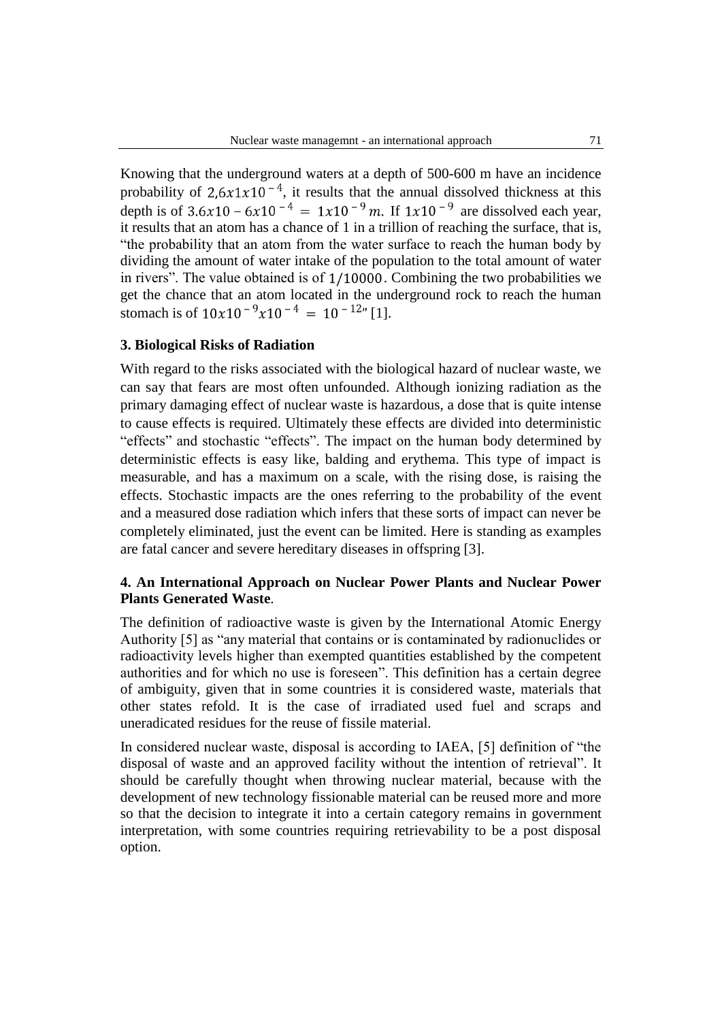Knowing that the underground waters at a depth of 500-600 m have an incidence probability of 2,6x1x10<sup>-4</sup>, it results that the annual dissolved thickness at this depth is of  $3.6x10 - 6x10^{-4} = 1x10^{-9}$  m. If  $1x10^{-9}$  are dissolved each year. it results that an atom has a chance of 1 in a trillion of reaching the surface, that is, "the probability that an atom from the water surface to reach the human body by dividing the amount of water intake of the population to the total amount of water in rivers". The value obtained is of  $1/10000$ . Combining the two probabilities we get the chance that an atom located in the underground rock to reach the human stomach is of  $10x10^{-9}x10^{-4} = 10^{-12}$  [1].

#### **3. Biological Risks of Radiation**

With regard to the risks associated with the biological hazard of nuclear waste, we can say that fears are most often unfounded. Although ionizing radiation as the primary damaging effect of nuclear waste is hazardous, a dose that is quite intense to cause effects is required. Ultimately these effects are divided into deterministic "effects" and stochastic "effects". The impact on the human body determined by deterministic effects is easy like, balding and erythema. This type of impact is measurable, and has a maximum on a scale, with the rising dose, is raising the effects. Stochastic impacts are the ones referring to the probability of the event and a measured dose radiation which infers that these sorts of impact can never be completely eliminated, just the event can be limited. Here is standing as examples are fatal cancer and severe hereditary diseases in offspring [3].

### **4. An International Approach on Nuclear Power Plants and Nuclear Power Plants Generated Waste***.*

The definition of radioactive waste is given by the International Atomic Energy Authority [5] as "any material that contains or is contaminated by radionuclides or radioactivity levels higher than exempted quantities established by the competent authorities and for which no use is foreseen". This definition has a certain degree of ambiguity, given that in some countries it is considered waste, materials that other states refold. It is the case of irradiated used fuel and scraps and uneradicated residues for the reuse of fissile material.

In considered nuclear waste, disposal is according to IAEA, [5] definition of "the disposal of waste and an approved facility without the intention of retrieval". It should be carefully thought when throwing nuclear material, because with the development of new technology fissionable material can be reused more and more so that the decision to integrate it into a certain category remains in government interpretation, with some countries requiring retrievability to be a post disposal option.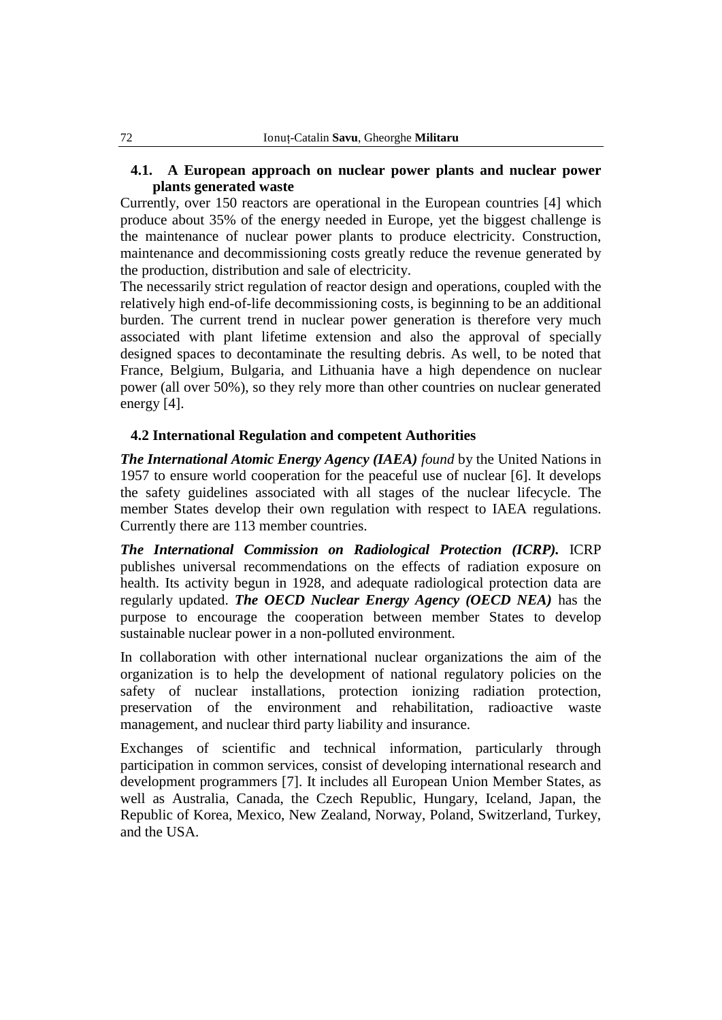## **4.1. A European approach on nuclear power plants and nuclear power plants generated waste**

Currently, over 150 reactors are operational in the European countries [4] which produce about 35% of the energy needed in Europe, yet the biggest challenge is the maintenance of nuclear power plants to produce electricity. Construction, maintenance and decommissioning costs greatly reduce the revenue generated by the production, distribution and sale of electricity.

The necessarily strict regulation of reactor design and operations, coupled with the relatively high end-of-life decommissioning costs, is beginning to be an additional burden. The current trend in nuclear power generation is therefore very much associated with plant lifetime extension and also the approval of specially designed spaces to decontaminate the resulting debris. As well, to be noted that France, Belgium, Bulgaria, and Lithuania have a high dependence on nuclear power (all over 50%), so they rely more than other countries on nuclear generated energy [4].

### **4.2 International Regulation and competent Authorities**

*The International Atomic Energy Agency (IAEA) found* by the United Nations in 1957 to ensure world cooperation for the peaceful use of nuclear [6]. It develops the safety guidelines associated with all stages of the nuclear lifecycle. The member States develop their own regulation with respect to IAEA regulations. Currently there are 113 member countries.

*The International Commission on Radiological Protection (ICRP).* ICRP publishes universal recommendations on the effects of radiation exposure on health. Its activity begun in 1928, and adequate radiological protection data are regularly updated. *The OECD Nuclear Energy Agency (OECD NEA)* has the purpose to encourage the cooperation between member States to develop sustainable nuclear power in a non-polluted environment.

In collaboration with other international nuclear organizations the aim of the organization is to help the development of national regulatory policies on the safety of nuclear installations, protection ionizing radiation protection, preservation of the environment and rehabilitation, radioactive waste management, and nuclear third party liability and insurance.

Exchanges of scientific and technical information, particularly through participation in common services, consist of developing international research and development programmers [7]. It includes all European Union Member States, as well as Australia, Canada, the Czech Republic, Hungary, Iceland, Japan, the Republic of Korea, Mexico, New Zealand, Norway, Poland, Switzerland, Turkey, and the USA.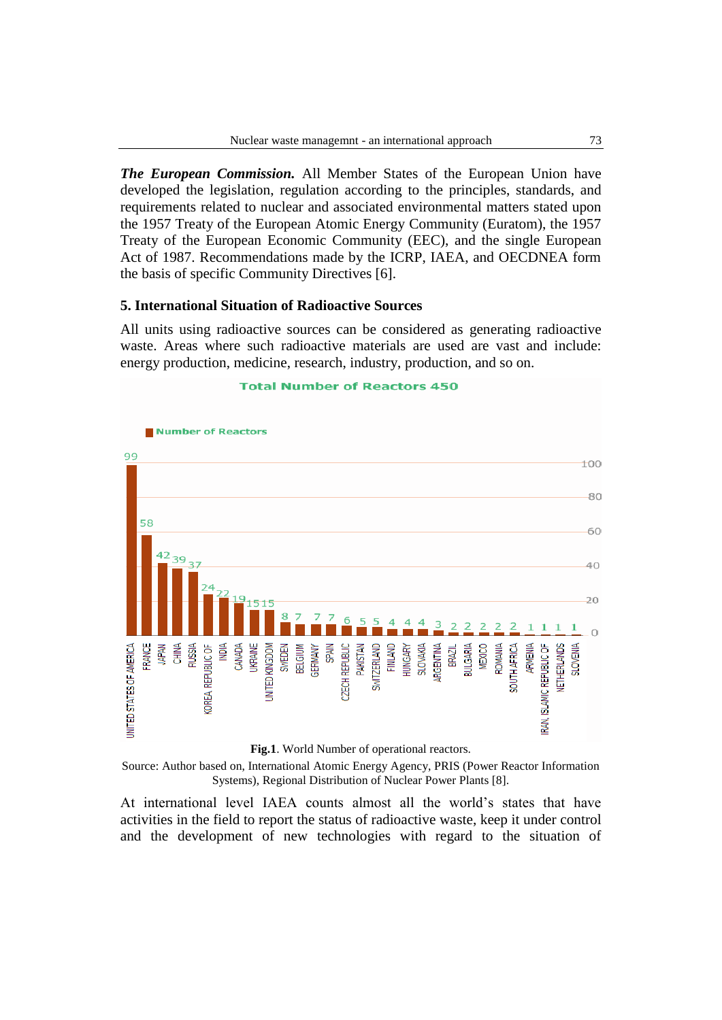*The European Commission.* All Member States of the European Union have developed the legislation, regulation according to the principles, standards, and requirements related to nuclear and associated environmental matters stated upon the 1957 Treaty of the European Atomic Energy Community (Euratom), the 1957 Treaty of the European Economic Community (EEC), and the single European Act of 1987. Recommendations made by the ICRP, IAEA, and OECDNEA form the basis of specific Community Directives [6].

#### **5. International Situation of Radioactive Sources**

All units using radioactive sources can be considered as generating radioactive waste. Areas where such radioactive materials are used are vast and include: energy production, medicine, research, industry, production, and so on.

#### **Total Number of Reactors 450**





Source: Author based on, International Atomic Energy Agency, PRIS (Power Reactor Information Systems), Regional Distribution of Nuclear Power Plants [8].

At international level IAEA counts almost all the world"s states that have activities in the field to report the status of radioactive waste, keep it under control and the development of new technologies with regard to the situation of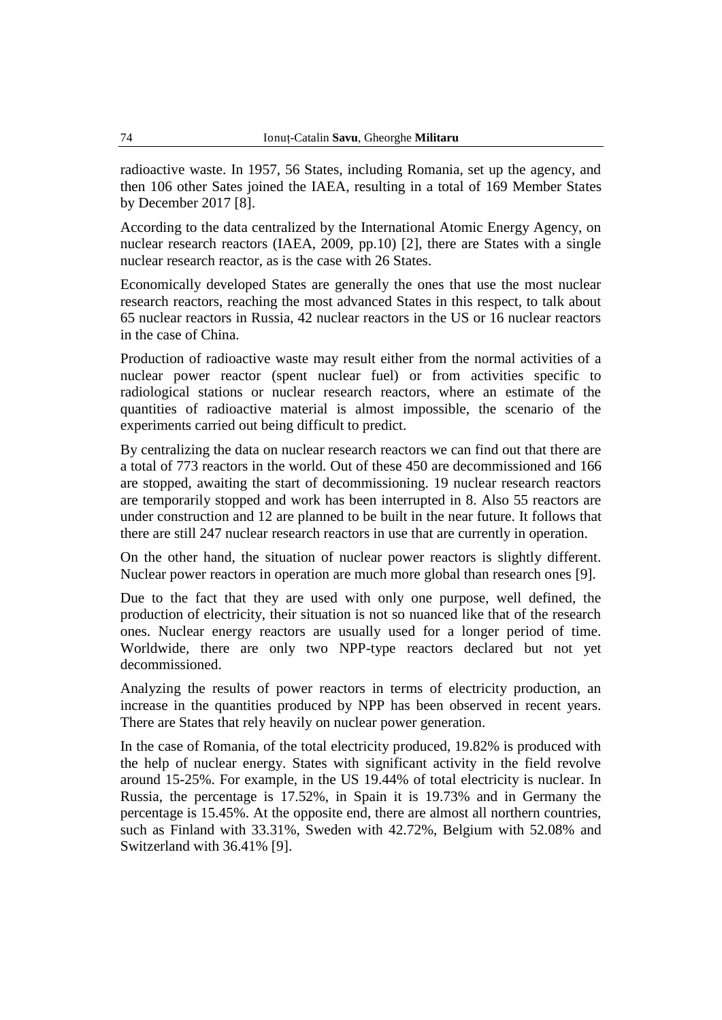radioactive waste. In 1957, 56 States, including Romania, set up the agency, and then 106 other Sates joined the IAEA, resulting in a total of 169 Member States by December 2017 [8].

According to the data centralized by the International Atomic Energy Agency, on nuclear research reactors (IAEA, 2009, pp.10) [2], there are States with a single nuclear research reactor, as is the case with 26 States.

Economically developed States are generally the ones that use the most nuclear research reactors, reaching the most advanced States in this respect, to talk about 65 nuclear reactors in Russia, 42 nuclear reactors in the US or 16 nuclear reactors in the case of China.

Production of radioactive waste may result either from the normal activities of a nuclear power reactor (spent nuclear fuel) or from activities specific to radiological stations or nuclear research reactors, where an estimate of the quantities of radioactive material is almost impossible, the scenario of the experiments carried out being difficult to predict.

By centralizing the data on nuclear research reactors we can find out that there are a total of 773 reactors in the world. Out of these 450 are decommissioned and 166 are stopped, awaiting the start of decommissioning. 19 nuclear research reactors are temporarily stopped and work has been interrupted in 8. Also 55 reactors are under construction and 12 are planned to be built in the near future. It follows that there are still 247 nuclear research reactors in use that are currently in operation.

On the other hand, the situation of nuclear power reactors is slightly different. Nuclear power reactors in operation are much more global than research ones [9].

Due to the fact that they are used with only one purpose, well defined, the production of electricity, their situation is not so nuanced like that of the research ones. Nuclear energy reactors are usually used for a longer period of time. Worldwide, there are only two NPP-type reactors declared but not yet decommissioned.

Analyzing the results of power reactors in terms of electricity production, an increase in the quantities produced by NPP has been observed in recent years. There are States that rely heavily on nuclear power generation.

In the case of Romania, of the total electricity produced, 19.82% is produced with the help of nuclear energy. States with significant activity in the field revolve around 15-25%. For example, in the US 19.44% of total electricity is nuclear. In Russia, the percentage is 17.52%, in Spain it is 19.73% and in Germany the percentage is 15.45%. At the opposite end, there are almost all northern countries, such as Finland with 33.31%, Sweden with 42.72%, Belgium with 52.08% and Switzerland with 36.41% [9].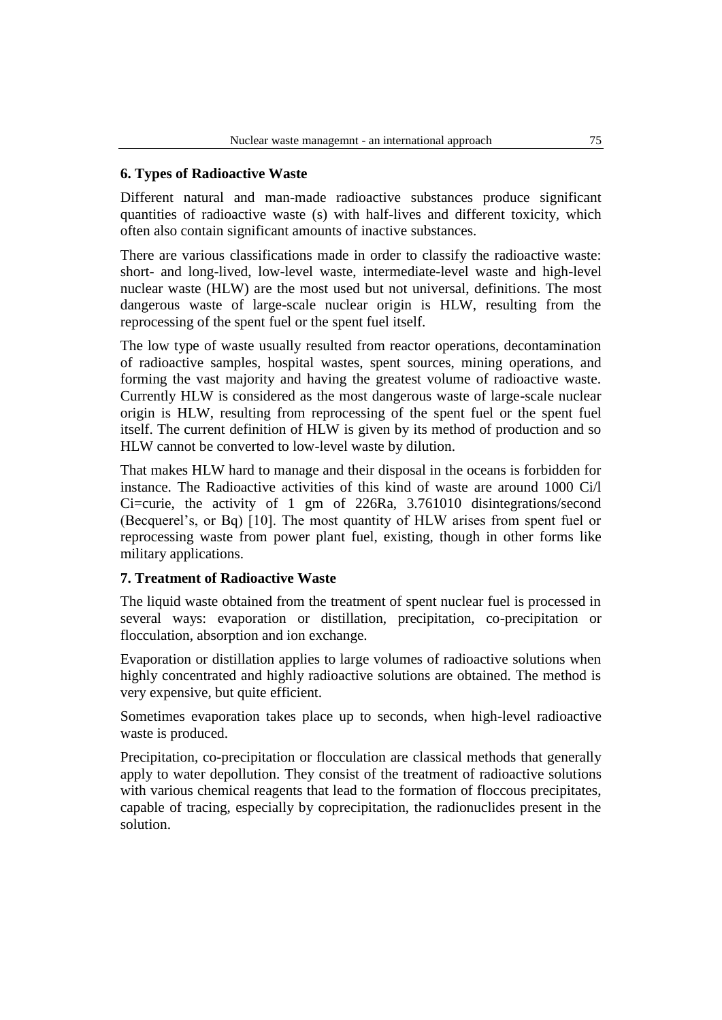## **6. Types of Radioactive Waste**

Different natural and man-made radioactive substances produce significant quantities of radioactive waste (s) with half-lives and different toxicity, which often also contain significant amounts of inactive substances.

There are various classifications made in order to classify the radioactive waste: short- and long-lived, low-level waste, intermediate-level waste and high-level nuclear waste (HLW) are the most used but not universal, definitions. The most dangerous waste of large-scale nuclear origin is HLW, resulting from the reprocessing of the spent fuel or the spent fuel itself.

The low type of waste usually resulted from reactor operations, decontamination of radioactive samples, hospital wastes, spent sources, mining operations, and forming the vast majority and having the greatest volume of radioactive waste. Currently HLW is considered as the most dangerous waste of large-scale nuclear origin is HLW, resulting from reprocessing of the spent fuel or the spent fuel itself. The current definition of HLW is given by its method of production and so HLW cannot be converted to low-level waste by dilution.

That makes HLW hard to manage and their disposal in the oceans is forbidden for instance. The Radioactive activities of this kind of waste are around 1000 Ci/l Ci=curie, the activity of 1 gm of 226Ra, 3.761010 disintegrations/second (Becquerel's, or Bq) [10]. The most quantity of HLW arises from spent fuel or reprocessing waste from power plant fuel, existing, though in other forms like military applications.

## **7. Treatment of Radioactive Waste**

The liquid waste obtained from the treatment of spent nuclear fuel is processed in several ways: evaporation or distillation, precipitation, co-precipitation or flocculation, absorption and ion exchange.

Evaporation or distillation applies to large volumes of radioactive solutions when highly concentrated and highly radioactive solutions are obtained. The method is very expensive, but quite efficient.

Sometimes evaporation takes place up to seconds, when high-level radioactive waste is produced.

Precipitation, co-precipitation or flocculation are classical methods that generally apply to water depollution. They consist of the treatment of radioactive solutions with various chemical reagents that lead to the formation of floccous precipitates, capable of tracing, especially by coprecipitation, the radionuclides present in the solution.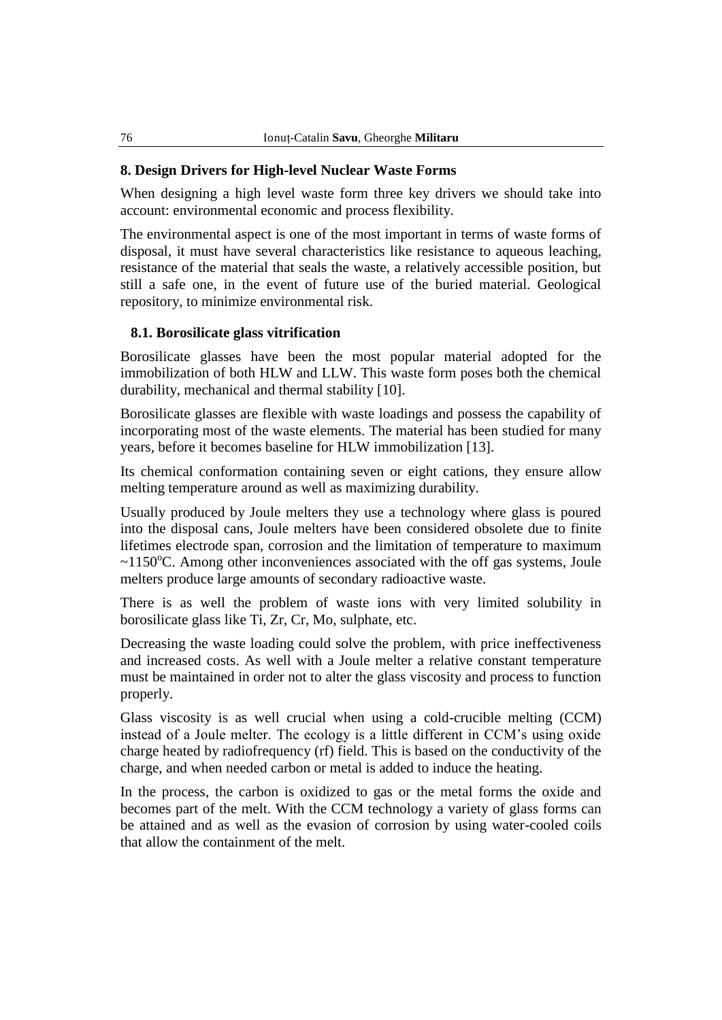### **8. Design Drivers for High-level Nuclear Waste Forms**

When designing a high level waste form three key drivers we should take into account: environmental economic and process flexibility.

The environmental aspect is one of the most important in terms of waste forms of disposal, it must have several characteristics like resistance to aqueous leaching, resistance of the material that seals the waste, a relatively accessible position, but still a safe one, in the event of future use of the buried material. Geological repository, to minimize environmental risk.

### **8.1. Borosilicate glass vitrification**

Borosilicate glasses have been the most popular material adopted for the immobilization of both HLW and LLW. This waste form poses both the chemical durability, mechanical and thermal stability [10].

Borosilicate glasses are flexible with waste loadings and possess the capability of incorporating most of the waste elements. The material has been studied for many years, before it becomes baseline for HLW immobilization [13].

Its chemical conformation containing seven or eight cations, they ensure allow melting temperature around as well as maximizing durability.

Usually produced by Joule melters they use a technology where glass is poured into the disposal cans, Joule melters have been considered obsolete due to finite lifetimes electrode span, corrosion and the limitation of temperature to maximum  $\sim$ 1150<sup>o</sup>C. Among other inconveniences associated with the off gas systems, Joule melters produce large amounts of secondary radioactive waste.

There is as well the problem of waste ions with very limited solubility in borosilicate glass like Ti, Zr, Cr, Mo, sulphate, etc.

Decreasing the waste loading could solve the problem, with price ineffectiveness and increased costs. As well with a Joule melter a relative constant temperature must be maintained in order not to alter the glass viscosity and process to function properly.

Glass viscosity is as well crucial when using a cold-crucible melting (CCM) instead of a Joule melter. The ecology is a little different in CCM"s using oxide charge heated by radiofrequency (rf) field. This is based on the conductivity of the charge, and when needed carbon or metal is added to induce the heating.

In the process, the carbon is oxidized to gas or the metal forms the oxide and becomes part of the melt. With the CCM technology a variety of glass forms can be attained and as well as the evasion of corrosion by using water-cooled coils that allow the containment of the melt.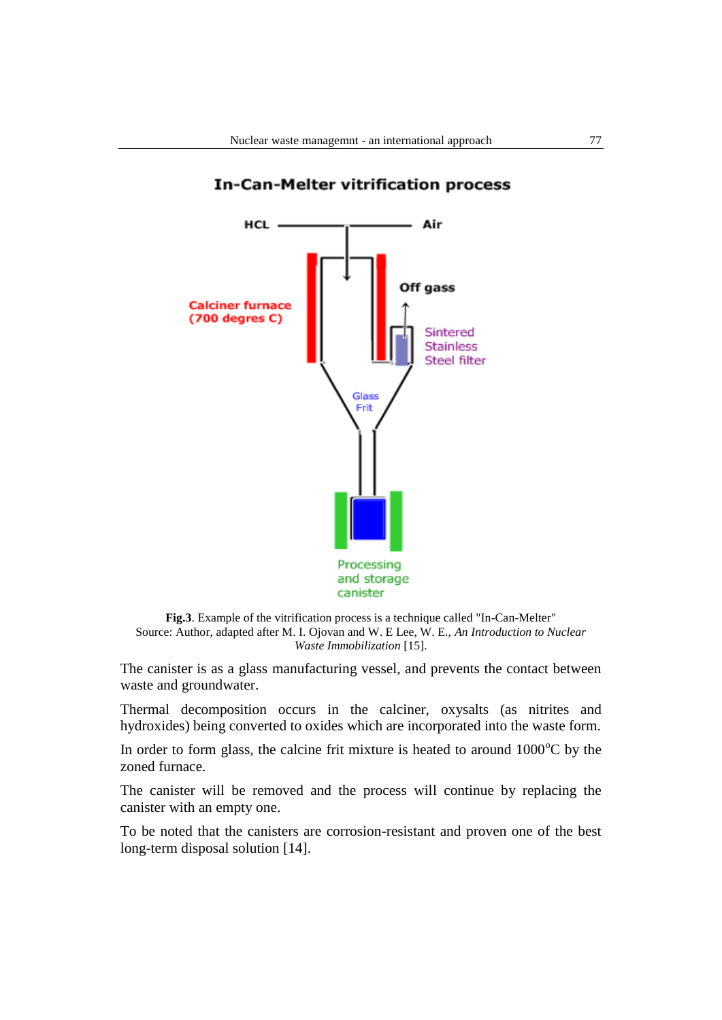

#### **In-Can-Melter vitrification process**



The canister is as a glass manufacturing vessel, and prevents the contact between waste and groundwater.

Thermal decomposition occurs in the calciner, oxysalts (as nitrites and hydroxides) being converted to oxides which are incorporated into the waste form.

In order to form glass, the calcine frit mixture is heated to around  $1000^{\circ}$ C by the zoned furnace.

The canister will be removed and the process will continue by replacing the canister with an empty one.

To be noted that the canisters are corrosion-resistant and proven one of the best long-term disposal solution [14].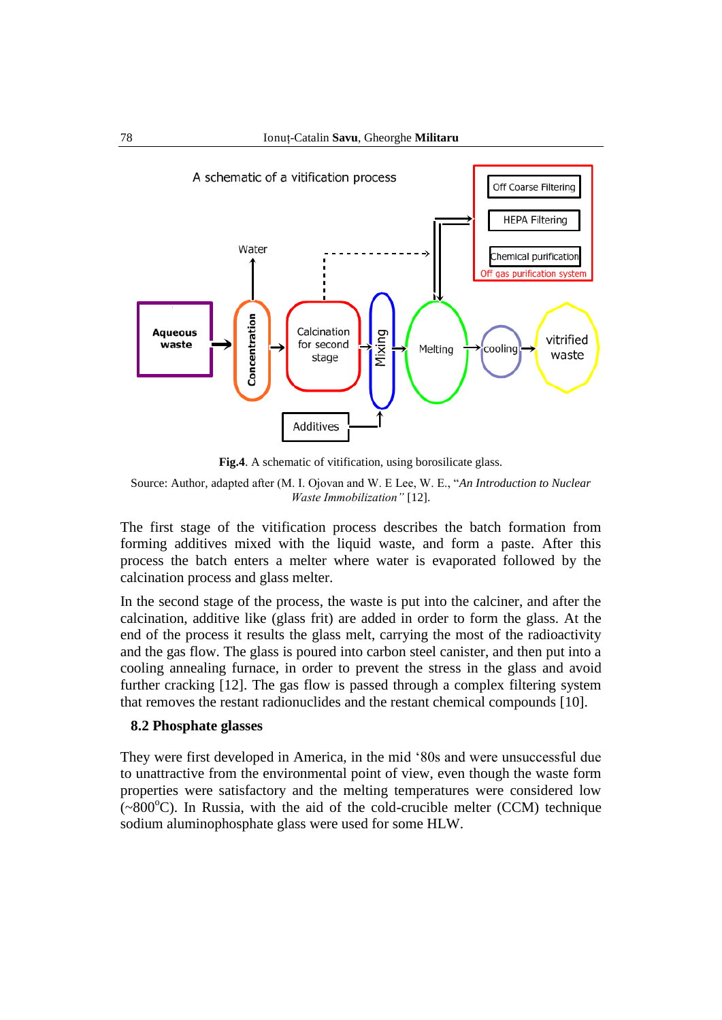

**Fig.4**. A schematic of vitification, using borosilicate glass.

Source: Author, adapted after (M. I. Ojovan and W. E Lee, W. E., "*An Introduction to Nuclear Waste Immobilization"* [12].

The first stage of the vitification process describes the batch formation from forming additives mixed with the liquid waste, and form a paste. After this process the batch enters a melter where water is evaporated followed by the calcination process and glass melter.

In the second stage of the process, the waste is put into the calciner, and after the calcination, additive like (glass frit) are added in order to form the glass. At the end of the process it results the glass melt, carrying the most of the radioactivity and the gas flow. The glass is poured into carbon steel canister, and then put into a cooling annealing furnace, in order to prevent the stress in the glass and avoid further cracking [12]. The gas flow is passed through a complex filtering system that removes the restant radionuclides and the restant chemical compounds [10].

#### **8.2 Phosphate glasses**

They were first developed in America, in the mid "80s and were unsuccessful due to unattractive from the environmental point of view, even though the waste form properties were satisfactory and the melting temperatures were considered low  $(-800^{\circ}C)$ . In Russia, with the aid of the cold-crucible melter (CCM) technique sodium aluminophosphate glass were used for some HLW.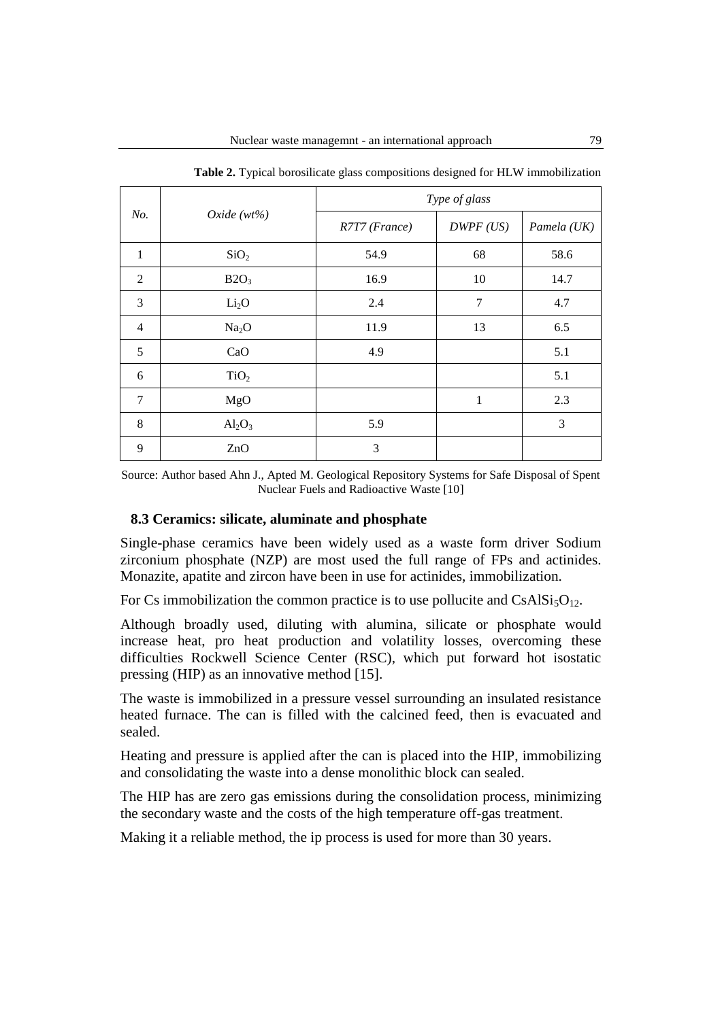| No.            | Oxide $(wt\%)$    | Type of glass |              |             |
|----------------|-------------------|---------------|--------------|-------------|
|                |                   | R7T7 (France) | DWPF (US)    | Pamela (UK) |
| $\mathbf{1}$   | SiO <sub>2</sub>  | 54.9          | 68           | 58.6        |
| $\overline{2}$ | B2O <sub>3</sub>  | 16.9          | 10           | 14.7        |
| 3              | Li <sub>2</sub> O | 2.4           | 7            | 4.7         |
| $\overline{4}$ | Na <sub>2</sub> O | 11.9          | 13           | 6.5         |
| 5              | CaO               | 4.9           |              | 5.1         |
| 6              | TiO <sub>2</sub>  |               |              | 5.1         |
| 7              | MgO               |               | $\mathbf{1}$ | 2.3         |
| 8              | $Al_2O_3$         | 5.9           |              | 3           |
| 9              | ZnO               | 3             |              |             |

**Table 2.** Typical borosilicate glass compositions designed for HLW immobilization

Source: Author based Ahn J., Apted M. Geological Repository Systems for Safe Disposal of Spent Nuclear Fuels and Radioactive Waste [10]

#### **8.3 Ceramics: silicate, aluminate and phosphate**

Single-phase ceramics have been widely used as a waste form driver Sodium zirconium phosphate (NZP) are most used the full range of FPs and actinides. Monazite, apatite and zircon have been in use for actinides, immobilization.

For Cs immobilization the common practice is to use pollucite and  $CsAlSi<sub>5</sub>O<sub>12</sub>$ .

Although broadly used, diluting with alumina, silicate or phosphate would increase heat, pro heat production and volatility losses, overcoming these difficulties Rockwell Science Center (RSC), which put forward hot isostatic pressing (HIP) as an innovative method [15].

The waste is immobilized in a pressure vessel surrounding an insulated resistance heated furnace. The can is filled with the calcined feed, then is evacuated and sealed.

Heating and pressure is applied after the can is placed into the HIP, immobilizing and consolidating the waste into a dense monolithic block can sealed.

The HIP has are zero gas emissions during the consolidation process, minimizing the secondary waste and the costs of the high temperature off-gas treatment.

Making it a reliable method, the ip process is used for more than 30 years.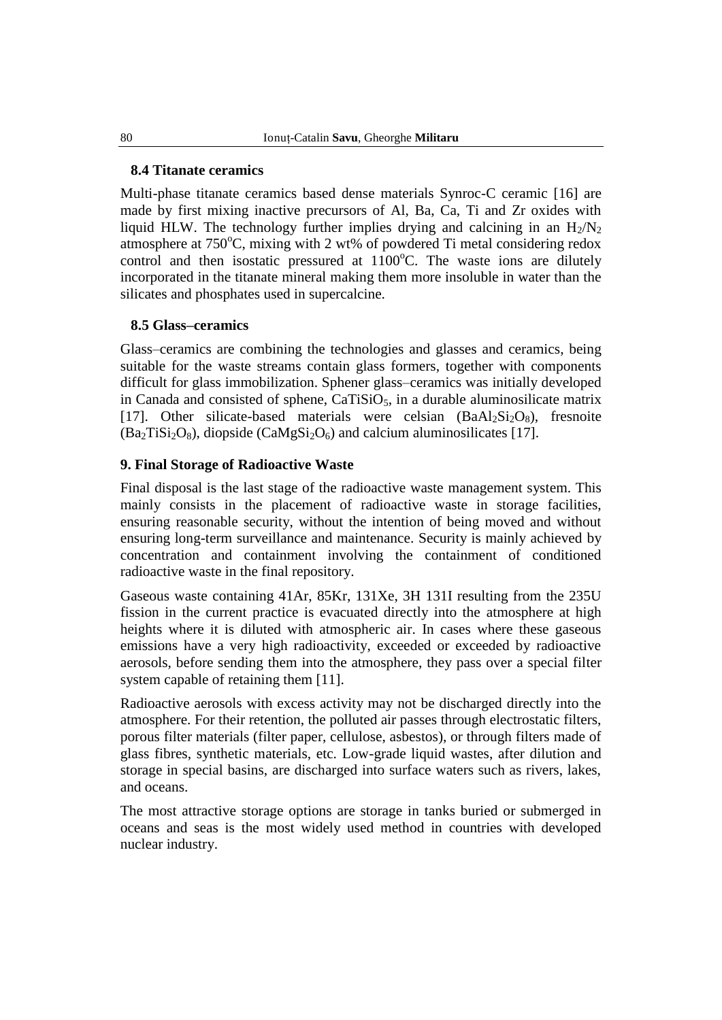#### **8.4 Titanate ceramics**

Multi-phase titanate ceramics based dense materials Synroc-C ceramic [16] are made by first mixing inactive precursors of Al, Ba, Ca, Ti and Zr oxides with liquid HLW. The technology further implies drying and calcining in an  $H_2/N_2$ atmosphere at  $750^{\circ}$ C, mixing with 2 wt% of powdered Ti metal considering redox control and then isostatic pressured at  $1100^{\circ}$ C. The waste ions are dilutely incorporated in the titanate mineral making them more insoluble in water than the silicates and phosphates used in supercalcine.

## **8.5 Glass–ceramics**

Glass–ceramics are combining the technologies and glasses and ceramics, being suitable for the waste streams contain glass formers, together with components difficult for glass immobilization. Sphener glass–ceramics was initially developed in Canada and consisted of sphene,  $CaTiSiO<sub>5</sub>$ , in a durable aluminosilicate matrix [17]. Other silicate-based materials were celsian  $(BaA<sub>2</sub>Si<sub>2</sub>O<sub>8</sub>)$ , fresnoite  $(Ba<sub>2</sub>TiSi<sub>2</sub>O<sub>8</sub>)$ , diopside  $(CaMgSi<sub>2</sub>O<sub>6</sub>)$  and calcium aluminosilicates [17].

## **9. Final Storage of Radioactive Waste**

Final disposal is the last stage of the radioactive waste management system. This mainly consists in the placement of radioactive waste in storage facilities, ensuring reasonable security, without the intention of being moved and without ensuring long-term surveillance and maintenance. Security is mainly achieved by concentration and containment involving the containment of conditioned radioactive waste in the final repository.

Gaseous waste containing 41Ar, 85Kr, 131Xe, 3H 131I resulting from the 235U fission in the current practice is evacuated directly into the atmosphere at high heights where it is diluted with atmospheric air. In cases where these gaseous emissions have a very high radioactivity, exceeded or exceeded by radioactive aerosols, before sending them into the atmosphere, they pass over a special filter system capable of retaining them [11].

Radioactive aerosols with excess activity may not be discharged directly into the atmosphere. For their retention, the polluted air passes through electrostatic filters, porous filter materials (filter paper, cellulose, asbestos), or through filters made of glass fibres, synthetic materials, etc. Low-grade liquid wastes, after dilution and storage in special basins, are discharged into surface waters such as rivers, lakes, and oceans.

The most attractive storage options are storage in tanks buried or submerged in oceans and seas is the most widely used method in countries with developed nuclear industry.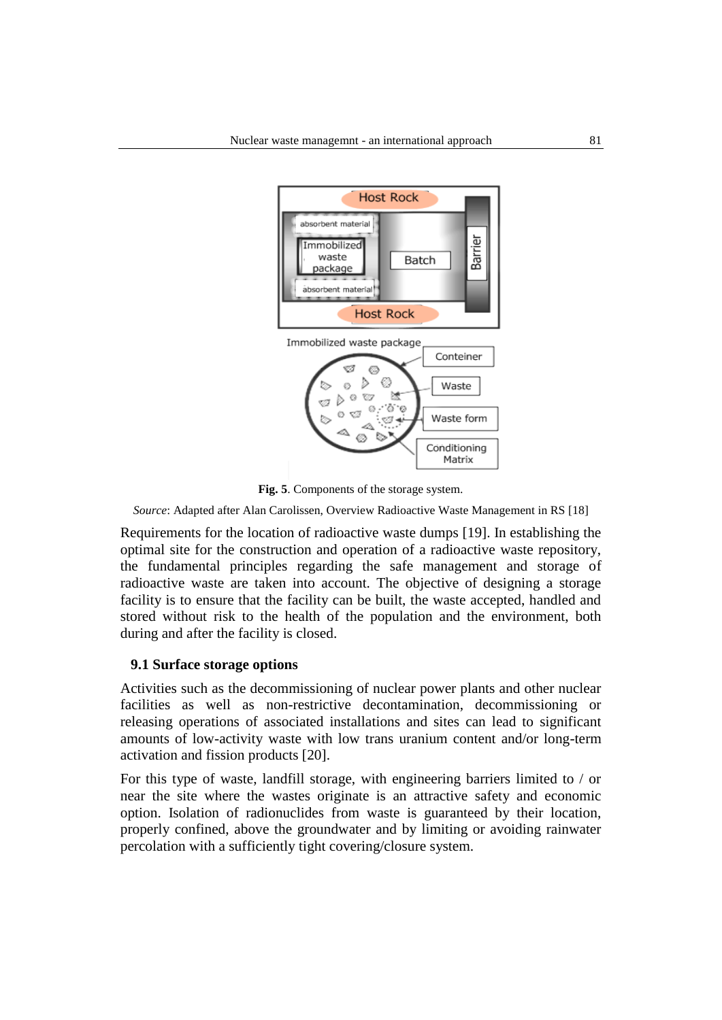

**Fig. 5**. Components of the storage system.

*Source*: Adapted after Alan Carolissen, Overview Radioactive Waste Management in RS [18]

Requirements for the location of radioactive waste dumps [19]. In establishing the optimal site for the construction and operation of a radioactive waste repository, the fundamental principles regarding the safe management and storage of radioactive waste are taken into account. The objective of designing a storage facility is to ensure that the facility can be built, the waste accepted, handled and stored without risk to the health of the population and the environment, both during and after the facility is closed.

#### **9.1 Surface storage options**

Activities such as the decommissioning of nuclear power plants and other nuclear facilities as well as non-restrictive decontamination, decommissioning or releasing operations of associated installations and sites can lead to significant amounts of low-activity waste with low trans uranium content and/or long-term activation and fission products [20].

For this type of waste, landfill storage, with engineering barriers limited to / or near the site where the wastes originate is an attractive safety and economic option. Isolation of radionuclides from waste is guaranteed by their location, properly confined, above the groundwater and by limiting or avoiding rainwater percolation with a sufficiently tight covering/closure system.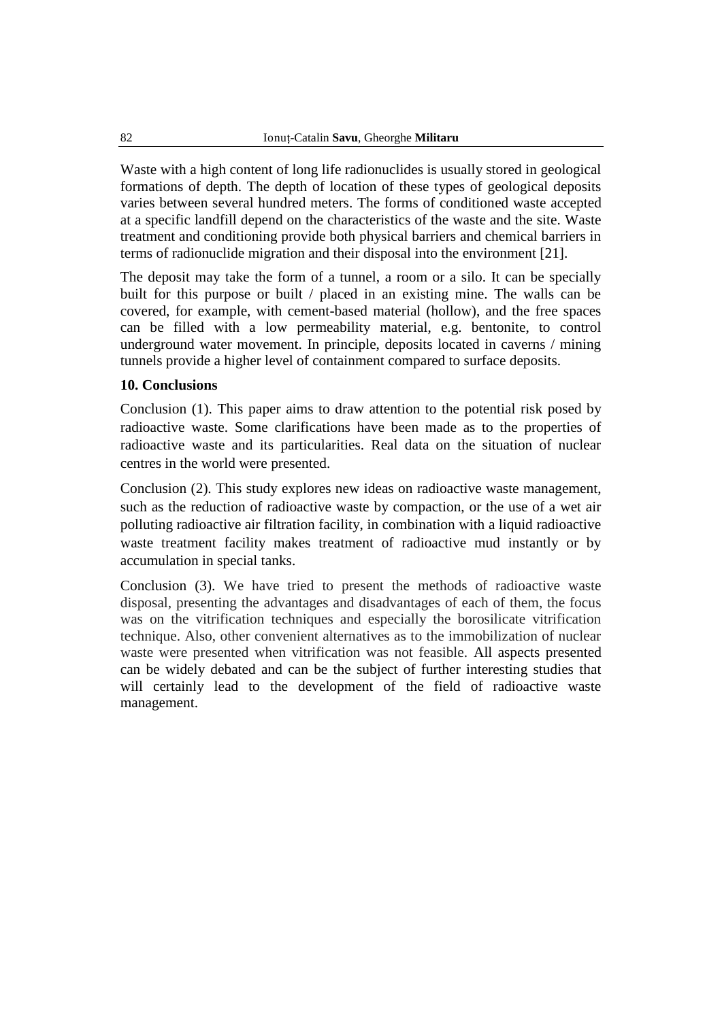Waste with a high content of long life radionuclides is usually stored in geological formations of depth. The depth of location of these types of geological deposits varies between several hundred meters. The forms of conditioned waste accepted at a specific landfill depend on the characteristics of the waste and the site. Waste treatment and conditioning provide both physical barriers and chemical barriers in terms of radionuclide migration and their disposal into the environment [21].

The deposit may take the form of a tunnel, a room or a silo. It can be specially built for this purpose or built / placed in an existing mine. The walls can be covered, for example, with cement-based material (hollow), and the free spaces can be filled with a low permeability material, e.g. bentonite, to control underground water movement. In principle, deposits located in caverns / mining tunnels provide a higher level of containment compared to surface deposits.

### **10. Conclusions**

Conclusion (1). This paper aims to draw attention to the potential risk posed by radioactive waste. Some clarifications have been made as to the properties of radioactive waste and its particularities. Real data on the situation of nuclear centres in the world were presented.

Conclusion (2). This study explores new ideas on radioactive waste management, such as the reduction of radioactive waste by compaction, or the use of a wet air polluting radioactive air filtration facility, in combination with a liquid radioactive waste treatment facility makes treatment of radioactive mud instantly or by accumulation in special tanks.

Conclusion (3). We have tried to present the methods of radioactive waste disposal, presenting the advantages and disadvantages of each of them, the focus was on the vitrification techniques and especially the borosilicate vitrification technique. Also, other convenient alternatives as to the immobilization of nuclear waste were presented when vitrification was not feasible. All aspects presented can be widely debated and can be the subject of further interesting studies that will certainly lead to the development of the field of radioactive waste management.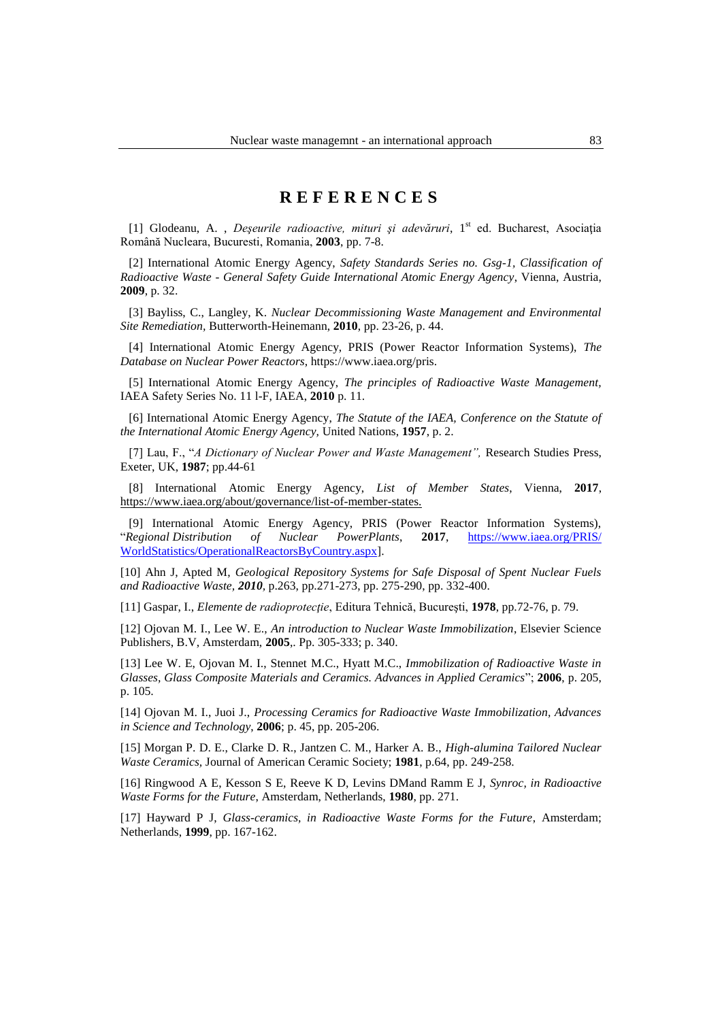# **R E F E R E N C E S**

[1] Glodeanu, A., *Deseurile radioactive, mituri și adevăruri*, 1<sup>st</sup> ed. Bucharest, Asociația Română Nucleara, Bucuresti, Romania, **2003**, pp. 7-8.

[2] International Atomic Energy Agency, *Safety Standards Series no. Gsg-1, Classification of Radioactive Waste - General Safety Guide International Atomic Energy Agency*, Vienna, Austria, **2009**, p. 32.

[3] Bayliss, C., Langley, K. *Nuclear Decommissioning Waste Management and Environmental Site Remediation,* Butterworth-Heinemann, **2010**, pp. 23-26, p. 44.

[4] International Atomic Energy Agency, PRIS (Power Reactor Information Systems), *The Database on Nuclear Power Reactors*, https://www.iaea.org/pris.

[5] International Atomic Energy Agency, *The principles of Radioactive Waste Management,*  IAEA Safety Series No. 11 l-F, IAEA, **2010** p. 11.

[6] International Atomic Energy Agency, *The Statute of the IAEA, Conference on the Statute of the International Atomic Energy Agency,* United Nations, **1957**, p. 2.

[7] Lau, F., "*A Dictionary of Nuclear Power and Waste Management",* Research Studies Press, Exeter, UK, **1987**; pp.44-61

[8] International Atomic Energy Agency, *List of Member States*, Vienna, **2017**, [https://www.iaea.org/about/governance/list-of-member-states.](https://www.iaea.org/about/governance/list-of-member-states)

[9] International Atomic Energy Agency, PRIS (Power Reactor Information Systems), "*Regional Distribution of Nuclear PowerPlants*, **2017**, [https://www.iaea.org/PRIS/](https://www.iaea.org/PRIS/%20WorldStatistics/OperationalReactorsByCountry.aspx)  [WorldStatistics/OperationalReactorsByCountry.aspx\]](https://www.iaea.org/PRIS/%20WorldStatistics/OperationalReactorsByCountry.aspx).

[10] Ahn J, Apted M, *Geological Repository Systems for Safe Disposal of Spent Nuclear Fuels and Radioactive Waste, 2010,* p.263, pp.271-273, pp. 275-290, pp. 332-400.

[11] Gaspar, I., *Elemente de radioprotecţie*, Editura Tehnică, Bucureşti, **1978**, pp.72-76, p. 79.

[12] Ojovan M. I., Lee W. E., *An introduction to Nuclear Waste Immobilization*, Elsevier Science Publishers, B.V, Amsterdam, **2005**,. Pp. 305-333; p. 340.

[13] Lee W. E, Ojovan M. I., Stennet M.C., Hyatt M.C., *Immobilization of Radioactive Waste in Glasses, Glass Composite Materials and Ceramics. Advances in Applied Ceramics*"; **2006**, p. 205, p. 105.

[14] Ojovan M. I., Juoi J., *Processing Ceramics for Radioactive Waste Immobilization, Advances in Science and Technology*, **2006**; p. 45, pp. 205-206.

[15] Morgan P. D. E., Clarke D. R., Jantzen C. M., Harker A. B., *High-alumina Tailored Nuclear Waste Ceramics,* Journal of American Ceramic Society; **1981**, p.64, pp. 249-258.

[16] Ringwood A E, Kesson S E, Reeve K D, Levins DMand Ramm E J, *Synroc, in Radioactive Waste Forms for the Future*, Amsterdam, Netherlands, **1980**, pp. 271.

[17] Hayward P J, *Glass-ceramics, in Radioactive Waste Forms for the Future*, Amsterdam; Netherlands, **1999**, pp. 167-162.